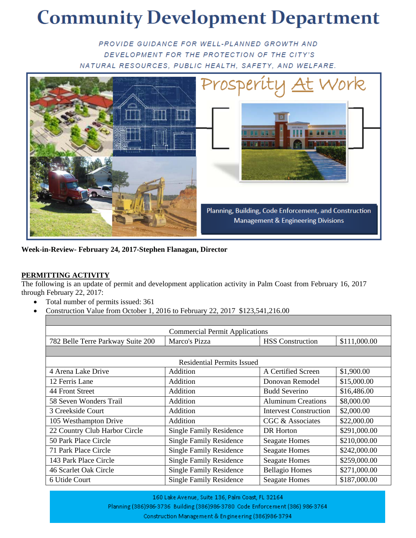## **Community Development Department**

PROVIDE GUIDANCE FOR WELL-PLANNED GROWTH AND DEVELOPMENT FOR THE PROTECTION OF THE CITY'S NATURAL RESOURCES, PUBLIC HEALTH, SAFETY, AND WELFARE.



**Week-in-Review- February 24, 2017-Stephen Flanagan, Director** 

## **PERMITTING ACTIVITY**

The following is an update of permit and development application activity in Palm Coast from February 16, 2017 through February 22, 2017:

- Total number of permits issued: 361
- Construction Value from October 1, 2016 to February 22, 2017 \$123,541,216.00

| <b>Commercial Permit Applications</b> |                                |                               |              |  |  |  |
|---------------------------------------|--------------------------------|-------------------------------|--------------|--|--|--|
| 782 Belle Terre Parkway Suite 200     | Marco's Pizza                  | <b>HSS</b> Construction       | \$111,000.00 |  |  |  |
|                                       |                                |                               |              |  |  |  |
| <b>Residential Permits Issued</b>     |                                |                               |              |  |  |  |
| 4 Arena Lake Drive                    | Addition                       | A Certified Screen            | \$1,900.00   |  |  |  |
| 12 Ferris Lane                        | Addition                       | Donovan Remodel               | \$15,000.00  |  |  |  |
| 44 Front Street                       | Addition                       | <b>Budd Severino</b>          | \$16,486.00  |  |  |  |
| 58 Seven Wonders Trail                | Addition                       | <b>Aluminum Creations</b>     | \$8,000.00   |  |  |  |
| 3 Creekside Court                     | Addition                       | <b>Intervest Construction</b> | \$2,000.00   |  |  |  |
| 105 Westhampton Drive                 | Addition                       | CGC & Associates              | \$22,000.00  |  |  |  |
| 22 Country Club Harbor Circle         | <b>Single Family Residence</b> | DR Horton                     | \$291,000.00 |  |  |  |
| 50 Park Place Circle                  | <b>Single Family Residence</b> | <b>Seagate Homes</b>          | \$210,000.00 |  |  |  |
| 71 Park Place Circle                  | <b>Single Family Residence</b> | <b>Seagate Homes</b>          | \$242,000.00 |  |  |  |
| 143 Park Place Circle                 | <b>Single Family Residence</b> | <b>Seagate Homes</b>          | \$259,000.00 |  |  |  |
| 46 Scarlet Oak Circle                 | <b>Single Family Residence</b> | <b>Bellagio Homes</b>         | \$271,000.00 |  |  |  |
| 6 Utide Court                         | <b>Single Family Residence</b> | <b>Seagate Homes</b>          | \$187,000.00 |  |  |  |

160 Lake Avenue, Suite 136, Palm Coast, FL 32164 Planning (386)986-3736 Building (386)986-3780 Code Enforcement (386) 986-3764 Construction Management & Engineering (386)986-3794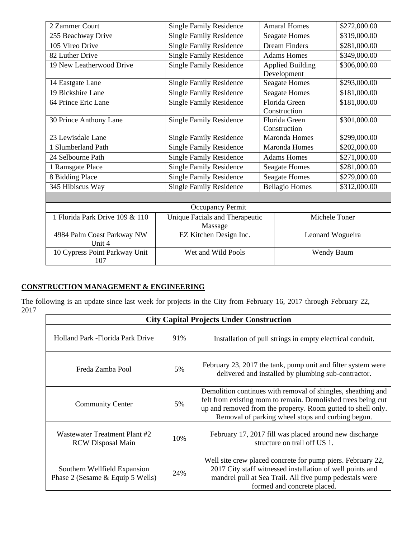| 2 Zammer Court                                                   | <b>Single Family Residence</b> |               | <b>Amaral Homes</b>     | \$272,000.00 |  |  |
|------------------------------------------------------------------|--------------------------------|---------------|-------------------------|--------------|--|--|
| 255 Beachway Drive                                               | <b>Single Family Residence</b> |               | <b>Seagate Homes</b>    | \$319,000.00 |  |  |
| 105 Vireo Drive                                                  | <b>Single Family Residence</b> |               | <b>Dream Finders</b>    | \$281,000.00 |  |  |
| 82 Luther Drive                                                  | <b>Single Family Residence</b> |               | <b>Adams Homes</b>      | \$349,000.00 |  |  |
| 19 New Leatherwood Drive                                         | <b>Single Family Residence</b> |               | <b>Applied Building</b> | \$306,000.00 |  |  |
|                                                                  |                                |               | Development             |              |  |  |
| 14 Eastgate Lane                                                 | <b>Single Family Residence</b> |               | <b>Seagate Homes</b>    | \$293,000.00 |  |  |
| 19 Bickshire Lane                                                | <b>Single Family Residence</b> |               | <b>Seagate Homes</b>    | \$181,000.00 |  |  |
| 64 Prince Eric Lane                                              | <b>Single Family Residence</b> |               | Florida Green           | \$181,000.00 |  |  |
|                                                                  |                                |               | Construction            |              |  |  |
| 30 Prince Anthony Lane                                           | <b>Single Family Residence</b> | Florida Green |                         | \$301,000.00 |  |  |
|                                                                  |                                |               | Construction            |              |  |  |
| 23 Lewisdale Lane                                                | <b>Single Family Residence</b> |               | Maronda Homes           | \$299,000.00 |  |  |
| 1 Slumberland Path                                               | <b>Single Family Residence</b> |               | Maronda Homes           | \$202,000.00 |  |  |
| 24 Selbourne Path                                                | <b>Single Family Residence</b> |               | <b>Adams Homes</b>      | \$271,000.00 |  |  |
| 1 Ramsgate Place                                                 | <b>Single Family Residence</b> |               | <b>Seagate Homes</b>    | \$281,000.00 |  |  |
| 8 Bidding Place                                                  | <b>Single Family Residence</b> |               | <b>Seagate Homes</b>    | \$279,000.00 |  |  |
| 345 Hibiscus Way                                                 | <b>Single Family Residence</b> |               | <b>Bellagio Homes</b>   | \$312,000.00 |  |  |
|                                                                  |                                |               |                         |              |  |  |
| Occupancy Permit                                                 |                                |               |                         |              |  |  |
| 1 Florida Park Drive 109 & 110<br>Unique Facials and Therapeutic |                                |               | Michele Toner           |              |  |  |
|                                                                  | Massage                        |               |                         |              |  |  |
| 4984 Palm Coast Parkway NW                                       | EZ Kitchen Design Inc.         |               | Leonard Wogueira        |              |  |  |
| Unit 4                                                           |                                |               |                         |              |  |  |
| 10 Cypress Point Parkway Unit<br>107                             | Wet and Wild Pools             |               | Wendy Baum              |              |  |  |

## **CONSTRUCTION MANAGEMENT & ENGINEERING**

The following is an update since last week for projects in the City from February 16, 2017 through February 22, 2017

| <b>City Capital Projects Under Construction</b>                  |     |                                                                                                                                                                                                                                                    |  |  |
|------------------------------------------------------------------|-----|----------------------------------------------------------------------------------------------------------------------------------------------------------------------------------------------------------------------------------------------------|--|--|
| Holland Park - Florida Park Drive                                | 91% | Installation of pull strings in empty electrical conduit.                                                                                                                                                                                          |  |  |
| Freda Zamba Pool                                                 | 5%  | February 23, 2017 the tank, pump unit and filter system were<br>delivered and installed by plumbing sub-contractor.                                                                                                                                |  |  |
| <b>Community Center</b>                                          | 5%  | Demolition continues with removal of shingles, sheathing and<br>felt from existing room to remain. Demolished trees being cut<br>up and removed from the property. Room gutted to shell only.<br>Removal of parking wheel stops and curbing begun. |  |  |
| Wastewater Treatment Plant #2<br><b>RCW</b> Disposal Main        | 10% | February 17, 2017 fill was placed around new discharge<br>structure on trail off US 1.                                                                                                                                                             |  |  |
| Southern Wellfield Expansion<br>Phase 2 (Sesame & Equip 5 Wells) | 24% | Well site crew placed concrete for pump piers. February 22,<br>2017 City staff witnessed installation of well points and<br>mandrel pull at Sea Trail. All five pump pedestals were<br>formed and concrete placed.                                 |  |  |